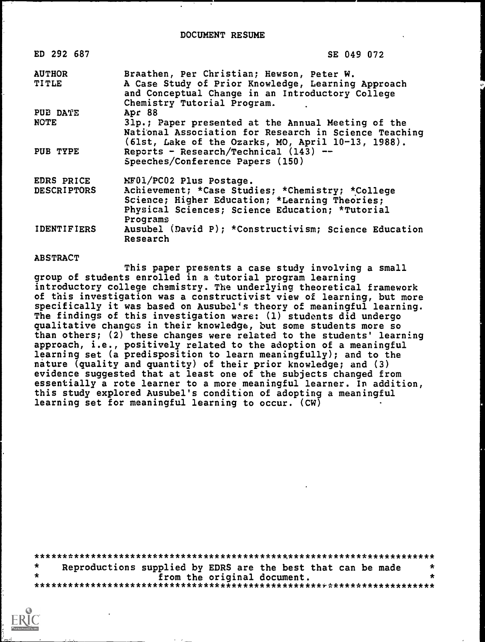| ED 292 687         | SE 049 072                                                                                                                                                        |
|--------------------|-------------------------------------------------------------------------------------------------------------------------------------------------------------------|
| <b>AUTHOR</b>      | Braathen, Per Christian; Hewson, Peter W.                                                                                                                         |
| <b>TITLE</b>       | A Case Study of Prior Knowledge, Learning Approach<br>and Conceptual Change in an Introductory College<br>Chemistry Tutorial Program.                             |
| PUE DATE           | Apr 88                                                                                                                                                            |
| <b>NOTE</b>        | 31p.; Paper presented at the Annual Meeting of the<br>National Association for Research in Science Teaching<br>(61st, Lake of the Ozarks, MO, April 10-13, 1988). |
| PUB TYPE           | Reports - Research/Technical $(143)$ --<br>Speeches/Conference Papers (150)                                                                                       |
| EDRS PRICE         | MF01/PC02 Plus Postage.                                                                                                                                           |
| <b>DESCRIPTORS</b> | Achievement; *Case Studies; *Chemistry; *College                                                                                                                  |
|                    | Science; Higher Education; *Learning Theories;<br>Physical Sciences; Science Education; *Tutorial<br>Programs                                                     |
| <b>IDENTIFIERS</b> | Ausubel (David P); *Constructivism; Science Education                                                                                                             |

ABSTRACT

Research

This paper presents a case study involving a small group of students enrolled in a tutorial program learning introductory college chemistry. The underlying theoretical framework of this investigation was a constructivist view of learning, but more specifically it was based on Ausubel's theory of meaningful learning. The findings of this investigation ware: (1) students did undergo qualitative changes in their knowledge, but some students more so than others; (2) these changes were related to the students' learning approach, i.e., positively related to the adoption of a meaningful learning set (a predisposition to learn meaningfully); and to the nature (quality and quantity) of their prior knowledge; and (3) evidence suggested that at least one of the subjects changed from essentially a rote learner to a more meaningful learner. In addition, this study explored Ausubel's condition of adopting a meaningful learning set for meaningful learning to occur. (CW)

|  | Reproductions supplied by EDRS are the best that can be made |  |                             |  |  | $\star$ |
|--|--------------------------------------------------------------|--|-----------------------------|--|--|---------|
|  |                                                              |  | from the original document. |  |  |         |
|  |                                                              |  |                             |  |  |         |

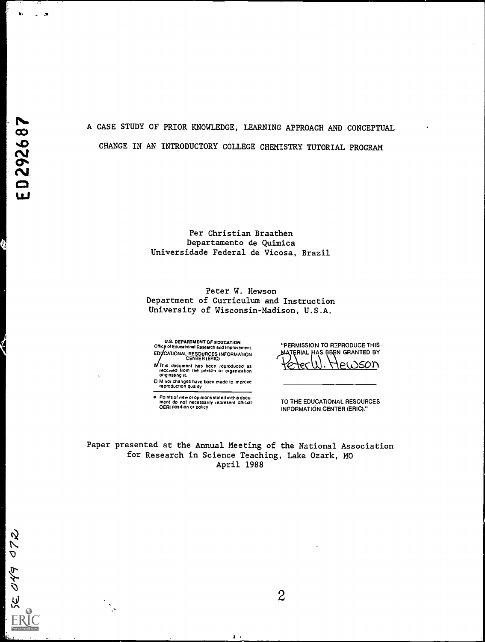**SE 049 072** 

 $\mathbf{a}$ 

 $\mathbf{u} = \mathbf{v}$ 

# A CASE STUDY OF PRIOR KNOWLEDGE, LEARNING APPROACH AND CONCEPTUAL CHANGE IN AN INTRODUCTORY COLLEGE CHEMISTRY TUTORIAL PROGRAM

Per Christian Braathen Departamento de Quimica Universidade Federal de Vicosa, Brazil

Peter W. Hewson Department of Curriculum and Instruction University of Wisconsin-Madison, U.S.A.

U.S. DEPARTMENT OF EDUCATION<br>Office of Educational Research and Improvement E0 CATIONAL RESOURCES INFORMATION CENTER (ERIC)

This document has been reproduced as received from the perSOn or organization originating it.

0 Minor changes have been made to improve reproduction Quality

o Points of view or opinions stated in this dccu ment do not necessarily represent official OERI position or policy

"PERMISSION TO REPRODUCE THIS MATERIAL HAS BEEN GRANTED BY ek.x.)SOn ۴

TO THE EDUCATIONAL RESOURCES INFORMATION CENTER (ERIC)."

Paper presented at the Annual Meeting of the National Association for Research in Science Teaching, Lake Ozark, MO April 1988

 $\mathbf{r}$ 

 $\overline{c}$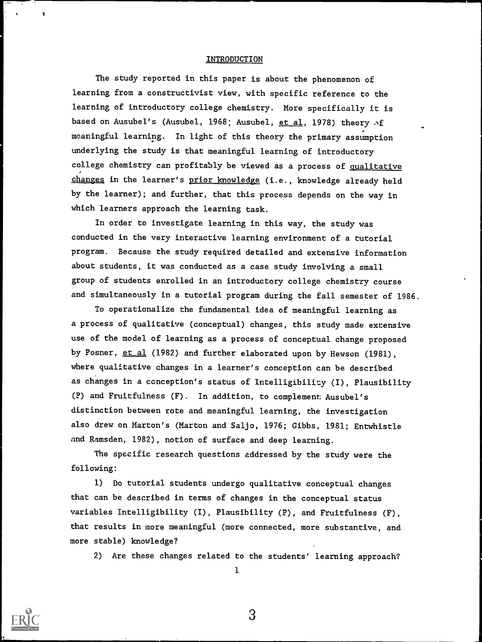# INTRODUCTION

The study reported in this paper is about the phenomenon of learning from a constructivist view, with specific reference to the learning of introductory college chemistry. More specifically it is based on Ausubel's (Ausubel, 1968; Ausubel, et al, 1978) theory of meaningful learning. In light of this theory the primary assumption underlying the study is that meaningful learning of introductory college chemistry can profitably be viewed as a process of qualitative changes in the learner's prior knowledge (i.e., knowledge already held by the learner); and further, that this process depends on the way in which learners approach the learning task.

In order to investigate learning in this way, the study was conducted in the very interactive learning environment of a tutorial program. Because the study required detailed and extensive information about students, it was conducted as a case study involving a small group of students enrolled in an introductory college chemistry course and simultaneously in a tutorial program during the fall semester of 1986.

To operationalize the fundamental idea of meaningful learning as a process of qualitative (conceptual) changes, this study made extensive use of the model of learning as a process of conceptual change proposed by Posner, et al (1982) and further elaborated upon by Hewson (1981), where qualitative changes in a learner's conception can be described as changes in a conception's status of Intelligibility (I), Plausibility (P) and Fruitfulness (F). In addition, to complement: Ausubel's distinction between rote and meaningful learning, the investigation also drew on Marton's (Marton and Saljo, 1976; Gibbs, 1981; Entwhistle and Ramsden, 1982), notion of surface and deep learning.

The specific research questions addressed by the study were the following:

1) Do tutorial students undergo qualitative conceptual changes that can be described in terms of changes in the conceptual status variables Intelligibility (I), Plausibility (P), and Fruitfulness (F), that results in more meaningful (more connected, more substantive, and more stable) knowledge?

2) Are these changes related to the students' learning approach?

1



T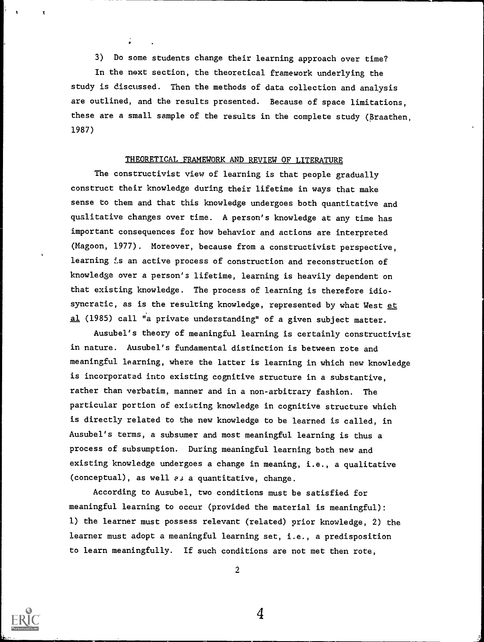t

3) Do some students change their learning approach over time?

In the next section, the theoretical framework underlying the study is discussed. Then the methods of data collection and analysis are outlined, and the results presented. Because of space limitations, these are a small sample of the results in the complete study (Braathen, 1987)

# THEORETICAL FRAMEWORK AND REVIEW OF LITERATURE

The constructivist view of learning is that people gradually construct their knowledge during their lifetime in ways that make sense to them and that this knowledge undergoes both quantitative and qualitative changes over time. A person's knowledge at any time has important consequences for how behavior and actions are interpreted (Magoon, 1977). Moreover, because from a constructivist perspective, learning is an active process of construction and reconstruction of knowledge over a person's lifetime, learning is heavily dependent on that existing knowledge. The process of learning is therefore idiosyncratic, as is the resulting knowledge, represented by what West et al (1985) call "a private understanding" of a given subject matter.

Ausubel's theory of meaningful learning is certainly constructivist in nature. Ausubel's fundamental distinction is between rote and meaningful learning, where the latter is learning in which new knowledge is incorporated into existing cognitive structure in a substantive, rather than verbatim, manner and in a non-arbitrary fashion. The particular portion of existing knowledge in cognitive structure which is directly related to the new knowledge to be learned is called, in Ausubel's terms, a subsumer and most meaningful learning is thus a process of subsumption. During meaningful learning both new and existing knowledge undergoes a change in meaning, i.e., a qualitative (conceptual), as well  $e_j$  a quantitative, change.

According to Ausubel, two conditions must be satisfied for meaningful learning to occur (provided the material is meaningful): 1) the learner must possess relevant (related) prior knowledge, 2) the learner must adopt a meaningful learning set, i.e., a predisposition to learn meaningfully. If such conditions are not met then rote,



2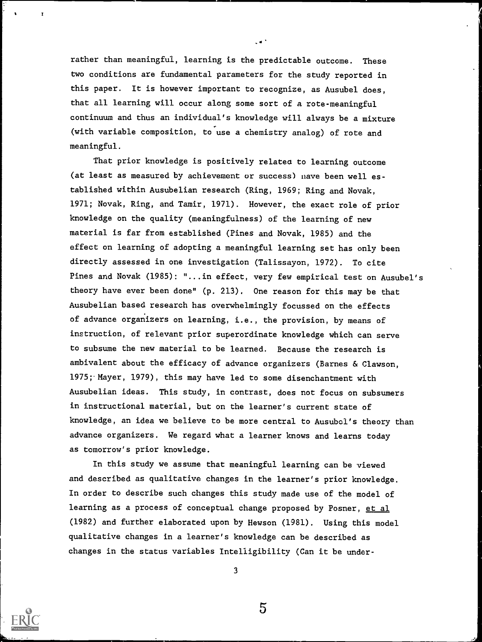rather than meaningful, learning is the predictable outcome. These two conditions are fundamental parameters for the study reported in this paper. It is however important to recognize, as Ausubel does, that all learning will occur along some sort of a rote-meaningful continuum and thus an individual's knowledge will always be a mixture (with variable composition, to use a chemistry analog) of rote and meaningful.

That prior knowledge is positively relatea to learning outcome (at least as measured by achievement or success) nave been well es tablished within Ausubelian research (Ring, 1969; Ring and Novak, 1971; Novak, Ring, and Tamir, 1971). However, the exact role of prior knowledge on the quality (meaningfulness) of the learning of new material is far from established (Pines and Novak, 1985) and the effect on learning of adopting a meaningful learning set has only been directly assessed in one investigation (Talissayon, 1972). To cite Pines and Novak (1985): "...in effect, very few empirical test on Ausubel's theory have ever been done" (p. 213). One reason for this may be that Ausubelian based research has overwhelmingly focussed on the effects of advance organizers on learning, i.e., the provision, by means of instruction, of relevant prior superordinate knowledge which can serve to subsume the new material to be learned. Because the research is ambivalent about the efficacy of advance organizers (Barnes & Clawson, 1975;- Mayer, 1979), this may have led to some disenchantment with Ausubelian ideas. This study, in contrast, does not focus on subsumers in instructional material, but on the learner's current state of knowledge, an idea we believe to be more central to Ausubci's theory than advance organizers. We regard what a learner knows and learns today as tomorrow's prior knowledge.

In this study we assume that meaningful learning can be viewed and described as qualitative changes in the learner's prior knowledge. In order to describe such changes this study made use of the model of learning as a process of conceptual change proposed by Posner, et al (1982) and further elaborated upon by Hewson (1981). Using this model qualitative changes in a learner's knowledge can be described as changes in the status variables Intelligibility (Can it be under-



3

 $\overline{5}$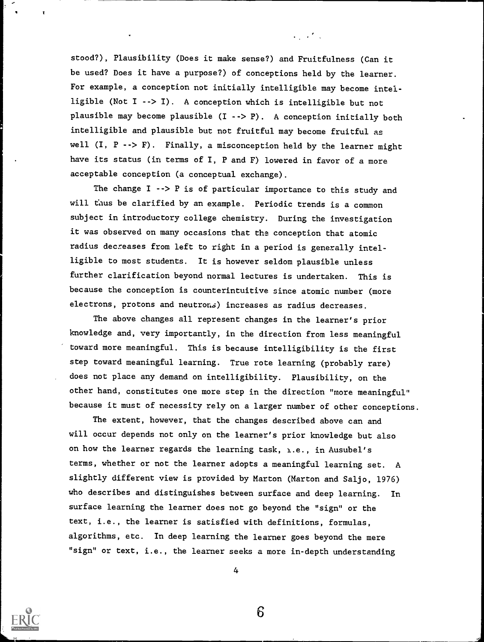stood?), Plausibility (Does it make sense?) and Fruitfulness (Can it be used? Does it have a purpose?) of conceptions held by the learner. For example, a conception not initially intelligible may become intelligible (Not I --> I). A conception which is intelligible but not plausible may become plausible  $(I \rightarrow > P)$ . A conception initially both intelligible and plausible but not fruitful may become fruitful as well  $(I, P \dashrightarrow F)$ . Finally, a misconception held by the learner might have its status (in terms of I, P and F) lowered in favor of a more acceptable conception (a conceptual exchange).

The change  $I \rightarrow P$  is of particular importance to this study and will thus be clarified by an example. Periodic trends is a common subject in introductory college chemistry. During the investigation it was observed on many occasions that the conception that atomic radius decreases from left to right in a period is generally intelligible to most students. It is however seldom plausible unless further clarification beyond normal lectures is undertaken. This is because the conception is counterintuitive since atomic number (more electrons, protons and neutrons) increases as radius decreases.

The above changes all represent changes in the learner's prior knowledge and, very importantly, in the direction from less meaningful toward more meaningful. This is because intelligibility is the first step toward meaningful learning. True rote learning (probably rare) does not place any demand on intelligibility. Plausibility, on the other hand, constitutes one more step in the direction "more meaningful" because it must of necessity rely on a larger number of other conceptions.

The extent, however, that the changes described above can and will occur depends not only on the learner's prior knowledge but also on how the learner regards the learning task, i.e., in Ausubel's terms, whether or not the learner adopts a meaningful learning set. A slightly different view is provided by Marton (Marton and Saljo, 1976) who describes and distinguishes between surface and deep learning. In surface learning the learner does not go beyond the "sign" or the text, i.e., the learner is satisfied with definitions, formulas, algorithms, etc. In deep learning the learner goes beyond the mere "sign" or text, i.e., the learner seeks a more in-depth understanding

4

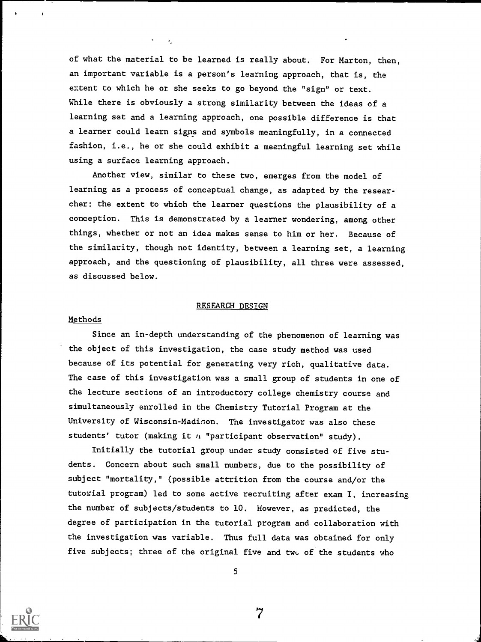of what the material to be learned is really about. For Marton, then, an important variable is a person's learning approach, that is, the extent to which he or she seeks to go beyond the "sign" or text. While there is obviously a strong similarity between the ideas of a learning set and a learning approach, one possible difference is that a learner could learn signs and symbols meaningfully, in a connected fashion, i.e., he or she could exhibit a meaningful learning set while using a surface learning approach.

Another view, similar to these two, emerges from the model of learning as a process of conceptual change, as adapted by the researcher: the extent to which the learner questions the plausibility of a conception. This is demonstrated by a learner wondering, among other things, whether or not an idea makes sense to him or her. Because of the similarity, though not identity, between a learning set, a learning approach, and the questioning of plausibility, all three were assessed, as discussed below.

#### RESEARCH DESIGN

#### Methods

Since an in-depth understanding of the phenomenon of learning was the object of this investigation, the case study method was used because of its potential for generating very rich, qualitative data. The case of this investigation was a small group of students in one of the lecture sections of an introductory college chemistry course and simultaneously enrolled in the Chemistry Tutorial Program at the University of Wisconsin-Madison. The investigator was also these students' tutor (making it  $n$  "participant observation" study).

Initially the tutorial group under study consisted of five students. Concern about such small numbers, due to the possibility of subject "mortality," (possible attrition from the course and/or the tutorial program) led to some active recruiting after exam I, increasing the number of subjects/students to 10. However, as predicted, the degree of participation in the tutorial program and collaboration with the investigation was variable. Thus full data was obtained for only five subjects; three of the original five and twc of the students who

5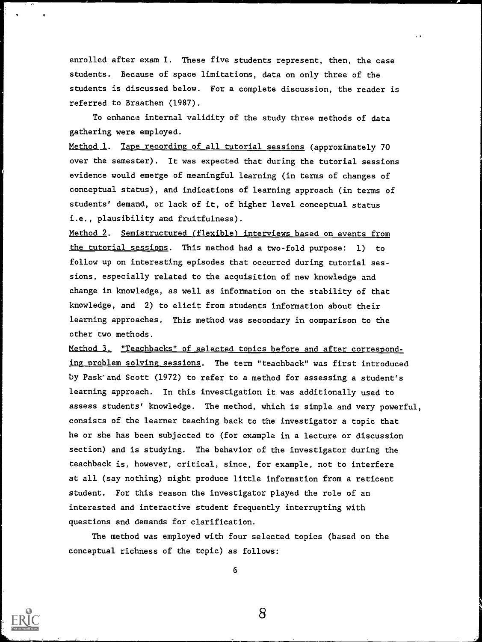enrolled after exam I. These five students represent, then, the case students. Because of space limitations, data on only three of the students is discussed below. For a complete discussion, the reader is referred to Braathen (1987).

To enhance internal validity of the study three methods of data gathering were employed.

Method 1. Tape recording of all tutorial sessions (approximately 70 over the semester). It was expected that during the tutorial sessions evidence would emerge of meaningful learning (in terms of changes of conceptual status), and indications of learning approach (in terms of students' demand, or lack of it, of higher level conceptual status i.e., plausibility and fruitfulness).

Method 2. Semistructured (flexible) interviews based on events from the tutorial sessions. This method had a two-fold purpose: 1) to follow up on interesting episodes that occurred during tutorial sessions, especially related to the acquisition of new knowledge and change in knowledge, as well as information on the stability of that knowledge, and 2) to elicit from students information about their learning approaches. This method was secondary in comparison to the other two methods.

Method 3, "Teachbacks" of selected topics before and after corresponding oroblem solving sessions. The term "teachback" was first introduced by Pask and Scott (1972) to refer to a method for assessing a student's learning approach. In this investigation it was additionally used to assess students' knowledge. The method, which is simple and very powerful, consists of the learner teaching back to the investigator a topic that he or she has been subjected to (for example in a lecture or discussion section) and is studying. The behavior of the investigator during the teachback is, however, critical, since, for example, not to interfere at all (say nothing) might produce little information from a reticent student. For this reason the investigator played the role of an interested and interactive student frequently interrupting with questions and demands for clarification.

The method was employed with four selected topics (based on the conceptual richness of the topic) as follows:



6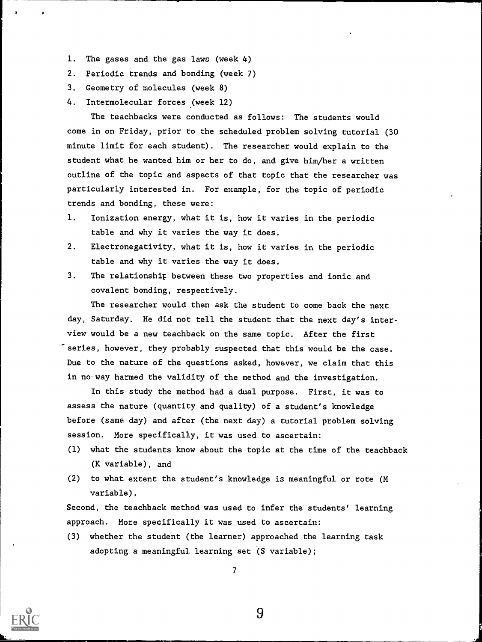- 1. The gases and the gas laws (week 4)
- 2. Periodic trends and bonding (week 7)
- 3. Geometry of molecules (week 8)
- 4. Intermolecular forces (week 12)

The teachbacks were conducted as follows: The students would come in on Friday, prior to the scheduled problem solving tutorial (30 minute limit for each student). The researcher would explain to the student what he wanted him or her to do, and give him/her a written outline of the topic and aspects of that topic that the researcher was particularly interested in. For example, for the topic of periodic trends and bonding, these were:

- 1. Ionization energy, what it is, how it varies in the periodic table and why it varies the way it does.
- 2. Electronegativity, what it is, how it varies in the periodic table and why it varies the way it does.
- 3. The relationship between these two properties and ionic and covalent bonding, respectively.

The researcher would then ask the student to come back the next day, Saturday. He did not tell the student that the next day's interview would be a new teachback on the same topic. After the first series, however, they probably suspected that this would be the case. Due to the nature of the questions asked, however, we claim that this in no way harmed the validity of the method and the investigation.

In this study the method had a dual purpose. First, it was to assess the nature (quantity and quality) of a student's knowledge before (same day) and after (the next day) a tutorial problem solving session. More specifically, it was used to ascertain:

- (1) what the students know about the topic at the time of the teachback (K variable), and
- (2) to what extent the student's knowledge is meaningful or rote (M variable).

Second, the teachback method was used to infer the students' learning approach. More specifically it was used to ascertain:

(3) whether the student (the learner) approached the learning task adopting a meaningful learning set (S variable);

7

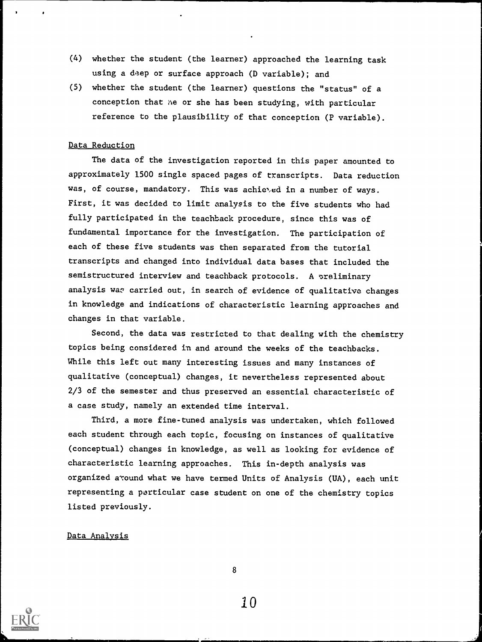- (4) whether the student (the learner) approached the learning task using a deep or surface approach (D variable); and
- (5) whether the student (the learner) questions the "status" of a conception that he or she has been studying, with particular reference to the plausibility of that conception (P variable).

## Data Reduction

The data of the investigation reported in this paper amounted to approximately 1500 single spaced pages of transcripts. Data reduction was, of course, mandatory. This was achieted in a number of ways. First, it was decided to limit analysis to the five students who had fully participated in the teachback procedure, since this was of fundamental importance for the investigation. The participation of each of these five students was then separated from the tutorial transcripts and changed into individual data bases that included the semistructured interview and teachback protocols. A sreliminary analysis was carried out, in search of evidence of qualitative changes in knowledge and indications of characteristic learning approaches and changes in that variable.

Second, the data was restricted to that dealing with the chemistry topics being considered in and around the weeks of the teachbacks. While this left out many interesting issues and many instances of qualitative (conceptual) changes, it nevertheless represented about 2/3 of the semester and thus preserved an essential characteristic of a case study, namely an extended time interval.

Third, a more fine-tuned analysis was undertaken, which followed each student through each topic, focusing on instances of qualitative (conceptual) changes in knowledge, as well as looking for evidence of characteristic learning approaches. This in-depth analysis was organized around what we have termed Units of Analysis (UA), each unit representing a particular case student on one of the chemistry topics listed previously.

# Data Analysis



8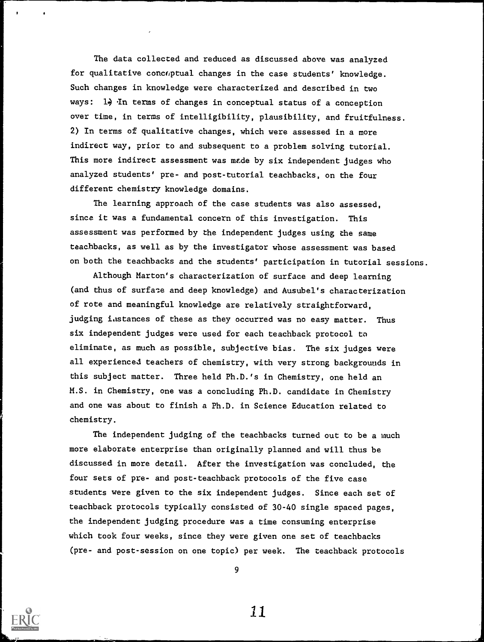The data collected and reduced as discussed above was analyzed for qualitative concoptual changes in the case students' knowledge. Such changes in knowledge were characterized and described in two ways:  $1\frac{1}{2}$  In terms of changes in conceptual status of a conception over time, in terms of intelligibility, plausibility, and fruitfulness. 2) In terms of qualitative changes, which were assessed in a more indirect way, prior to and subsequent to a problem solving tutorial. This more indirect assessment was mede by six independent judges who analyzed students' pre- and post-tutorial teachbacks, on the four different chemistry knowledge domains.

The learning approach of the case students was also assessed, since it was a fundamental concern of this investigation. This assessment was performed by the independent judges using the same teachbacks, as well as by the investigator whose assessment was based on both the teachbacks and the students' participation in tutorial sessions.

Although Marton's characterization of surface and deep learning (and thus of surface and deep knowledge) and Ausubel's characterization of rote and meaningful knowledge are relatively straightforward, judging instances of these as they occurred was no easy matter. Thus six independent judges were used for each teachback protocol to eliminate, as much as possible, subjective bias. The six judges were all experienced teachers of chemistry, with very strong backgrounds in this subject matter. Three held Ph.D.'s in Chemistry, one held an M.S. in Chemistry, one was a concluding Ph.D. candidate in Chemistry and one was about to finish a Ph.D. in Science Education related to chemistry.

The independent judging of the teachbacks turned out to be a much more elaborate enterprise than originally planned and will thus be discussed in more detail. After the investigation was concluded, the four sets of pre- and post-teachback protocols of the five case students were given to the six independent judges. Since each set of teachback protocols typically consisted of 30-40 single spaced pages, the independent judging procedure was a time consuming enterprise which took four weeks, since they were given one set of teachbacks (pre- and post-session on one topic) per week. The teachback protocols



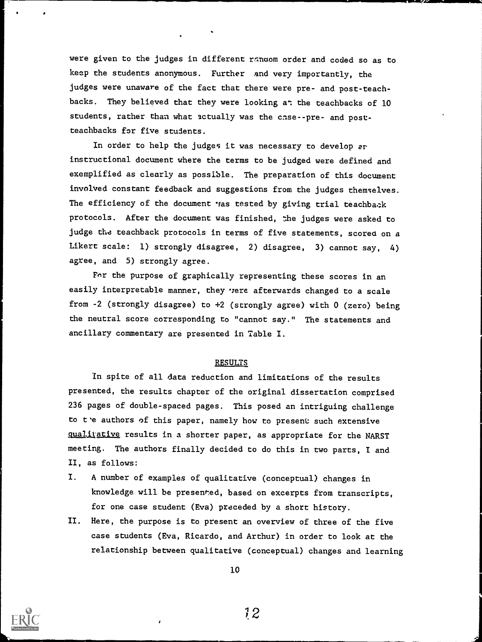were given to the judges in different random order and coded so as to keep the students anonymous. Further and very importantly, the judges were unaware of the fact that there were pre- and post-teachbacks. They believed that they were looking at the teachbacks of 10 students, rather than what actually was the case--pre- and postteachbacks for five students.

In order to help the judges it was necessary to develop er instructional document where the terms to be judged were defined and exemplified as clearly as possible. The preparation of this document involved constant feedback and suggestions from the judges themselves. The efficiency of the document vas tested by giving trial teachback protocols. After the document was finished, the judges were asked to judge the teachback protocols in terms of five statements, scored on a Likert scale: 1) strongly disagree, 2) disagree, 3) cannot say, 4) agree, and 5) strongly agree.

Fnr the purpose of graphically representing these scores in an easily interpretable manner, they vere afterwards changed to a scale from -2 (strongly disagree) to +2 (strongly agree) with 0 (zero) being the neutral score corresponding to "cannot say." The statements and ancillary commentary are presented in Table I.

## **RESULTS**

In spite of all data reduction and limitations of the results presented, the results chapter of the original dissertation comprised 236 pages of double-spaced pages. This posed an intriguing challenge to t'e authors of this paper, namely how to present such extensive qualitative results in a shorter paper, as appropriate for the NARST meeting. The authors finally decided to do this in two parts, I and II, as follows:

- I. A number of examples of qualitative (conceptual) changes in knowledge will be presented, based on excerpts from transcripts, for one case student (Eva) preceded by a short history.
- II. Here, the purpose is to present an overview of three of the five case students (Eva, Ricardo, and Arthur) in order to look at the relationship between qualitative (conceptual) changes and learning



10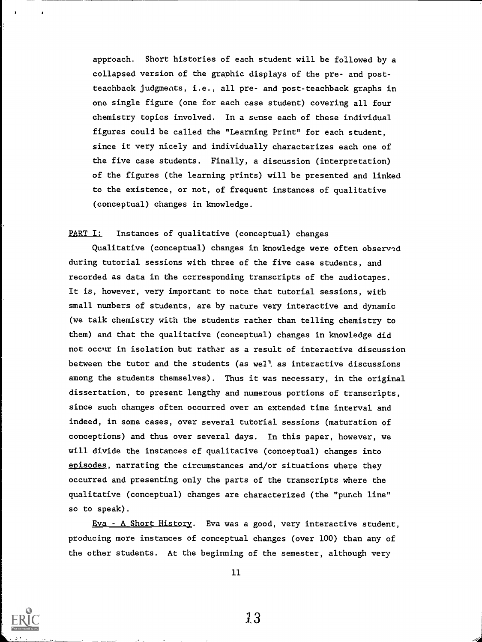approach. Short histories of each student will be followed by a collapsed version of the graphic displays of the pre- and postteachback judgments, i.e., all pre- and post-teachback graphs in one single figure (one for each case student) covering all four chemistry topics involved. In a sense each of these individual figures couli be called the "Learning Print" for each student, since it very nicely and individually characterizes each one of the five case students. Finally, a discussion (interpretation) of the figures (the learning prints) will be presented and linked to the existence, or not, of frequent instances of qualitative (conceptual) changes in knowledge.

# PART I: Instances of qualitative (conceptual) changes

Qualitative (conceptual) changes in knowledge were often observed during tutorial sessions with three of the five case students, and recorded as data in the corresponding transcripts of the audiotapes. It is, however, very important to note that tutorial sessions, with small numbers of students, are by nature very interactive and dynamic (we talk chemistry with the students rather than telling chemistry to them) and that the qualitative (conceptual) changes in knowledge did not occur in isolation but rather as a result of interactive discussion between the tutor and the students (as wel<sup>1</sup>, as interactive discussions among the students themselves). Thus it was necessary, in the original dissertation, to present lengthy and numerous portions of transcripts, since such changes often occurred over an extended time interval and indeed, in some cases, over several tutorial sessions (maturation of conceptions) and thus over several days. In this paper, however, we will divide the instances cf qualitative (conceptual) changes into episodes, narrating the circumstances and/or situations where they occurred and presenting only the parts of the transcripts where the qualitative (conceptual) changes are characterized (the "punch line" so to speak).

Eva - A Short History. Eva was a good, very interactive student, producing more instances of conceptual changes (over 100) than any of the other students. At the beginning of the semester, although very



11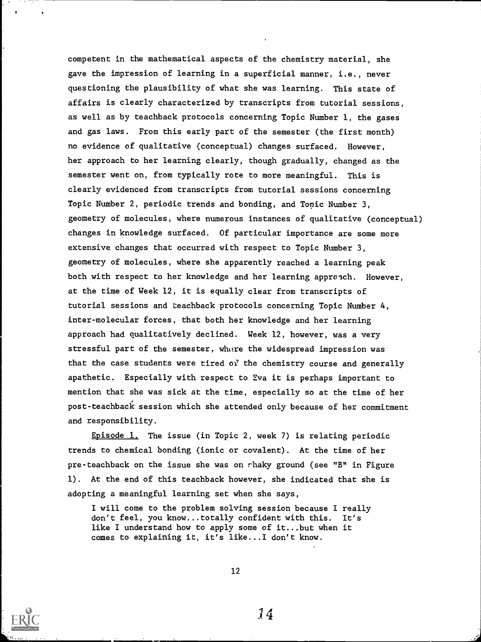competent in the mathematical aspects of the chemistry material, she gave the impression of learning in a superficial manner, i.e., never questioning the plausibility of what she was learning. This state of affairs is clearly characterized by transcripts from tutorial sessions, as well as by teachback protocols concerning Topic Number 1, the gases and gas laws. From this early part of the semester (the first month) no evidence of qualitative (conceptual) changes surfaced. However, her approach to her learning clearly, though gradually, changed as the semester went on, from typically rote to more meaningful. This is clearly evidenced from transcripts from tutorial sessions concerning Topic Number 2, periodic trends and bonding, and Topic Number 3, geometry of molecules, where numerous instances of qualitative (conceptual) changes in knowledge surfaced. Of particular importance are some more extensive changes that occurred with respect to Topic Number 3, geometry of molecules, where she apparently reached a learning peak both with respect to her knowledge and her learning approach. However, at the time of Week 12, it is equally clear from transcripts of tutorial sessions and teachback protocols concerning Topic Number 4, inter-molecular forces, that both her knowledge and her learning approach had qualitatively declined. Week 12, however, was a very stressful part of the semester, where the widespread impression was that the case students were tired of the chemistry course and generally apathetic. Especially with respect to Eva it is perhaps important to mention that she was sick at the time, especially so at the time of her post - teachback session which she attended only because of her commitment and responsibility.

Episode 1. The issue (in Topic 2, week 7) is relating periodic trends to chemical bonding (ionic or covalent). At the time of her pre-teachback on the issue she was on shaky ground (see "B" in Figure 1). At the end of this teachback however, she indicated that she is adopting a meaningful learning set when she says,

I will come to the problem solving session because I really don't feel, you know...totally confident with this. It's like I understand how to apply some of it...but when it comes to explaining it, it's like...I don't know.

12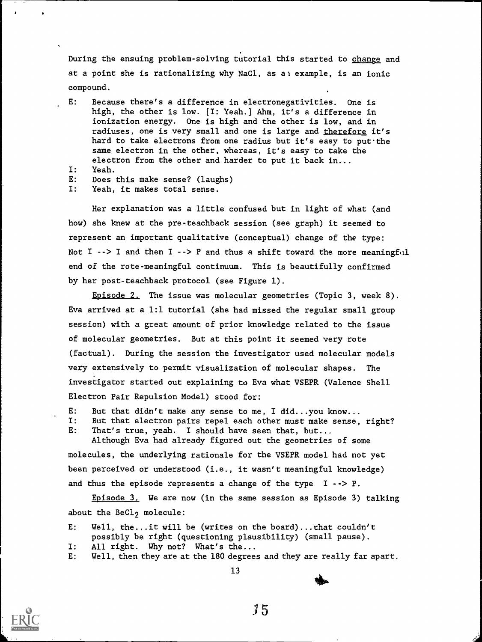During the ensuing problem-solving tutorial this started to change and at a point she is rationalizing why NaC1, as al example, is an ionic compound.

- E: Because there's a difference in electronegativities. One is high, the other is low. [I: Yeah.] Ahm, it's a difference in ionization energy. One is high and the other is low, and in radiuses, one is very small and one is large and therefore it's hard to take electrons from one radius but it's easy to put the same electron in the other, whereas, it's easy to take the electron from the other and harder to put it back in...
- I: Yeah.
- E: Does this make sense? (laughs)
- I: Yeah, it makes total sense.

Her explanation was a little confused but in light of what (and how) she knew at the pre-teachback session (see graph) it seemed to represent an important qualitative (conceptual) change of the type: Not I  $\cdot$ -> I and then I  $\cdot$ -> P and thus a shift toward the more meaningful end of the rote-meaningful continuum. This is beautifully confirmed by her post-teachback protocol (see Figure 1).

Episode 2. The issue was molecular geometries (Topic 3, week 8). Eva arrived at a 1:1 tutorial (she had missed the regular small group session) with a great amount of prior knowledge related to the issue of molecular geometries. But at this point it seemed very rote (factual). During the session the investigator used molecular models very extensively to permit visualization of molecular shapes. The investigator started out explaining to Eva what VSEPR (Valence Shell Electron Pair Repulsion Model) stood for:

- E: But that didn't make any sense to me, I did...you know...<br>I: But that electron pairs repel each other must make sense,
- But that electron pairs repel each other must make sense, right? E: That's true, yeah. I should have seen that, but...

Although Eva had already figured out the geometries of some molecules, the underlying rationale for the VSEPR model had not yet been perceived or understood (i.e., it wasn't meaningful knowledge) and thus the episode represents a change of the type  $I \rightarrow > P$ .

Episode 3. We are now (in the same session as Episode 3) talking about the BeCl<sub>2</sub> molecule:

- E: Well, the...it will be (writes on the board)...that couldn't possibly be right (questioning plausibility) (small pause).
- I: All right. Why not? What's the...
- E: Well, then they are at the 180 degrees and they are really far apart.

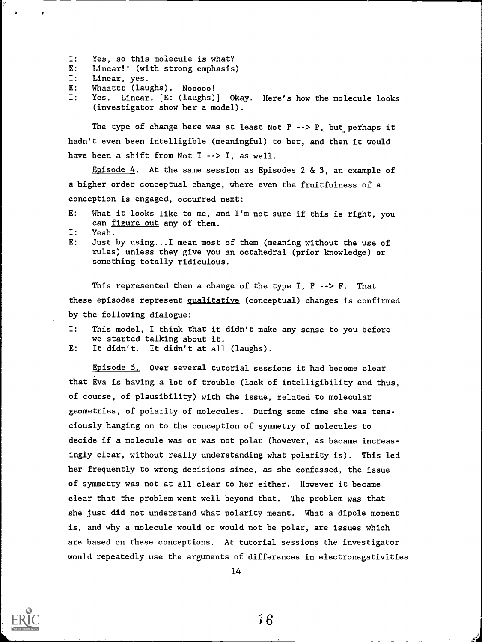- I: Yes, so this molecule is what?
- E: Linear!! (with strong emphasis)
- I: Linear, yes.

 $\bullet$ 

- E: Whaattt (laughs). N00000!
- I: Yes. Linear. [E: (laughs)] Okay. Here's how the molecule looks (investigator show her a model).

The type of change here was at least Not  $P \rightarrow P$ , but perhaps it hadn't even been intelligible (meaningful) to her, and then it would have been a shift from Not I --> I, as well.

Episode  $4$ . At the same session as Episodes 2 & 3, an example of a higher order conceptual change, where even the fruitfulness of a conception is engaged, occurred next:

- E: What it looks like to me, and I'm not sure if this is right, you can figure out any of them.
- I: Yeah.
- E: Just by using...I mean most of them (meaning without the use of rules) unless they give you an octahedral (prior knowledge) or something totally ridiculous.

This represented then a change of the type I,  $P \rightarrow P$ . That these episodes represent qualitative (conceptual) changes is confirmed by the following dialogue:

- I: This model, I think that it didn't make any sense to you before we started talking about it.
- E: It didn't. It didn't at all (laughs).

Episode 5, Over several tutorial sessions it had become clear that Eva is having a lot of trouble (lack of intelligibility and thus, of course, of plausibility) with the issue, related to molecular geometries, of polarity of molecules. During some time she was tenaciously hanging on to the conception of symmetry of molecules to decide if a molecule was or was not polar (however, as became increasingly clear, without really understanding what polarity is). This led her frequently to wrong decisions since, as she confessed, the issue of symmetry was not at all clear to her either. However it became clear that the problem went well beyond that. The problem was that she just did not understand what polarity meant. What a dipole moment is, and why a molecule would or would not be polar, are issues which are based on these conceptions. At tutorial sessions the investigator would repeatedly use the arguments of differences in electronegativities



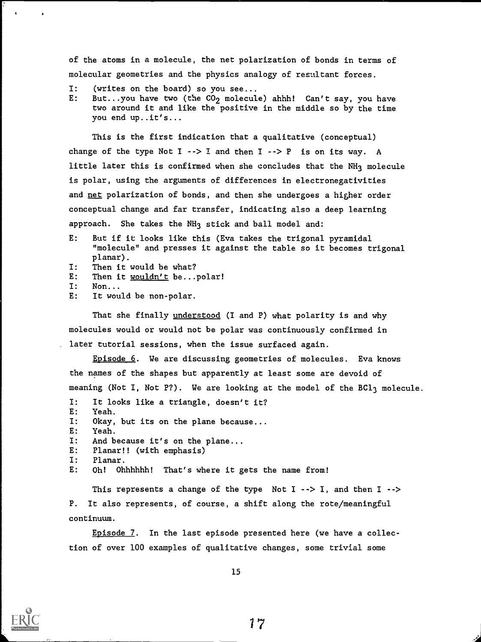of the atoms in a molecule, the net polarization of bonds in terms of molecular geometries and the physics analogy of resultant forces.

- $I:$ (writes on the board) so you see...
- E: But...you have two (the  $CO<sub>2</sub>$  molecule) ahhh! Can't say, you have two around it and like the positive in the middle so by the time you end up..it's...

This is the first indication that a qualitative (conceptual) change of the type Not  $I --> I$  and then  $I --> P$  is on its way. A little later this is confirmed when she concludes that the NH<sub>3</sub> molecule is polar, using the arguments of differences in electronegativities and net polarization of bonds, and then she undergoes a higher order conceptual change and far transfer, indicating also a deep learning approach. She takes the NH<sub>3</sub> stick and ball model and:

- E: But if it looks like this (Eva takes the trigonal pyramidal "molecule" and presses it against the table so it becomes trigonal planar).
- I: Then it would be what?
- E: Then it wouldn't be...polar!
- I: Non...
- E: It would be non-polar.

That she finally understood (I and P) what polarity is and why molecules would or would not be polar was continuously confirmed in later tutorial sessions, when the issue surfaced again.

Episode 6. We are discussing geometries of molecules. Eva knows the names of the shapes but apparently at least some are devoid of meaning (Not I, Not P?). We are looking at the model of the BCl<sub>3</sub> molecule.

- I: It looks like a triangle, doesn't it? E: Yeah. I: Okay, but its on the plane because... E: Yeah. I: And because it's on the plane...
- E: Planar!! (with emphasis)
- I: Planar.
- E: Oh! Ohhhhhh! That's where it gets the name from!

This represents a change of the type Not  $I \rightarrow I$ , and then  $I \rightarrow$ P. It also represents, of course, a shift along the rote/meaningful continuum.

Episode 7. In the last episode presented here (we have a collection of over 100 examples of qualitative changes, some trivial some



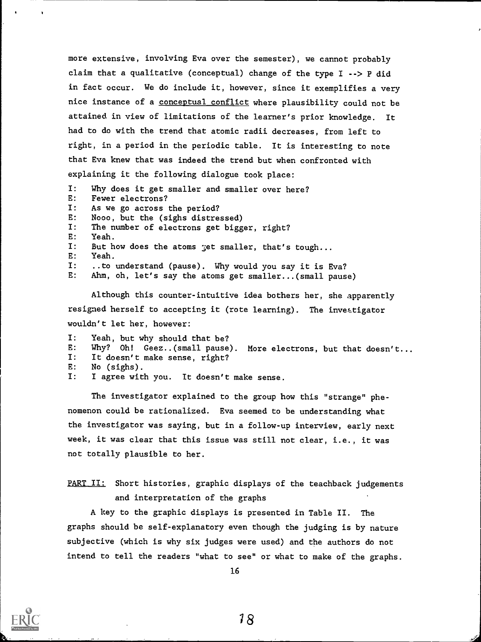more extensive, involving Eva over the semester), we cannot probably claim that a qualitative (conceptual) change of the type I --> P did in fact occur. We do include it, however, since it exemplifies a very nice instance of a conceptual conflict where plausibility could not be attained in view of limitations of the learner's prior knowledge. It had to do with the trend that atomic radii decreases, from left to right, in a period in the periodic table. It is interesting to note that Eva knew that was indeed the trend but when confronted with explaining it the following dialogue took place:

I: Why does it get smaller and smaller over here? E: Fewer electrons? I: As we go across the period? E: N000, but the (sighs distressed) I: The number of electrons get bigger, right? E: Yeah. I: But how does the atoms get smaller, that's tough... E: Yeah. I: ..to understand (pause). Why would you say it is Eva?<br>E: Ahm. oh. let's say the atoms get smaller...(small paus Ahm, oh, let's say the atoms get smaller...(small pause)

Although this counter-intuitive idea bothers her, she apparently resigned herself to accepting it (rote learning). The investigator wouldn't let her, however:

I: Yeah, but why should that be? E: Why? Oh! Geez..(small pause). More electrons, but that doesn't...<br>I: It doesn't make sense. right? It doesn't make sense, right? E: No (sighs). I: I agree with you. It doesn't make sense.

The investigator explained to the group how this "strange" phenomenon could be rationalized. Eva seemed to be understanding what the investigator was saying, but in a follow-up interview, early next week, it was clear that this issue was still not clear, i.e., it was not totally plausible to her.

PART II: Short histories, graphic displays of the teachback judgements and interpretation of the graphs

A key to the graphic displays is presented in Table II. The graphs should be self-explanatory even though the judging is by nature subjective (which is why six judges were used) and the authors do not intend to tell the readers "what to see" or what to make of the graphs.

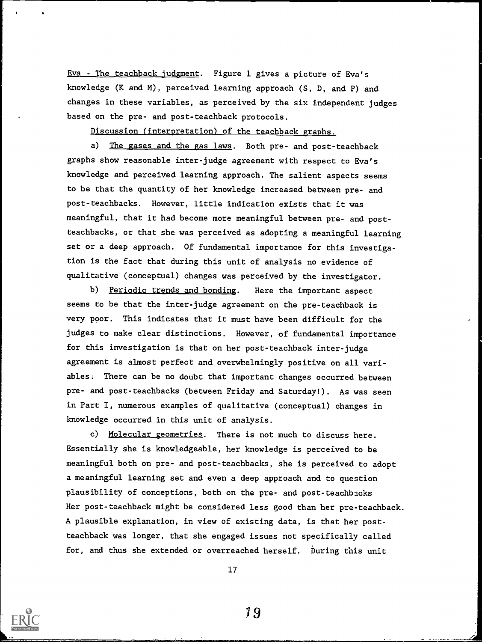Eva - The teachback judgment. Figure 1 gives a picture of Eva's knowledge (K and M), perceived learning approach (S, D, and P) and changes in these variables, as perceived by the six independent judges based on the pre- and post-teachback protocols.

Discussion (interpretation) of the teachback graphs.

a) The gases and the gas laws. Both pre- and post-teachback graphs show reasonable inter-judge agreement with respect to Eva's knowledge and perceived learning approach. The salient aspects seems to be that the quantity of her knowledge increased between pre- and post-teachbacks. However, little indication exists that it was meaningful, that it had become more meaningful between pre- and postteachbacks, or that she was perceived as adopting a meaningful learning set or a deep approach. Of fundamental importance for this investigation is the fact that during this unit of analysis no evidence of qualitative (conceptual) changes was perceived by the investigator.

b) Periodic trends and bonding. Here the important aspect seems to be that the inter-judge agreement on the pre-teachback is very poor. This indicates that it must have been difficult for the judges to make clear distinctions. However, of fundamental importance for this investigation is that on her post-teachback inter-judge agreement is almost perfect and overwhelmingly positive on all variables. There can be no doubt that important changes occurred between pre- and post-teachbacks (between Friday and Saturday!). As was seen in Part I, numerous examples of qualitative (conceptual) changes in knowledge occurred in this unit of analysis.

c) Molecular geometries. There is not much to discuss here. Essentially she is knowledgeable, her knowledge is perceived to be meaningful both on pre- and post-teachbacks, she is perceived to adopt a meaningful learning set and even a deep approach and to question plausibility of conceptions, both on the pre- and post-teachbacks Her post-teachback might be considered less good than her pre-teachback. A plausible explanation, in view of existing data, is that her postteachback was longer, that she engaged issues not specifically called for, and thus she extended or overreached herself. During this unit

17

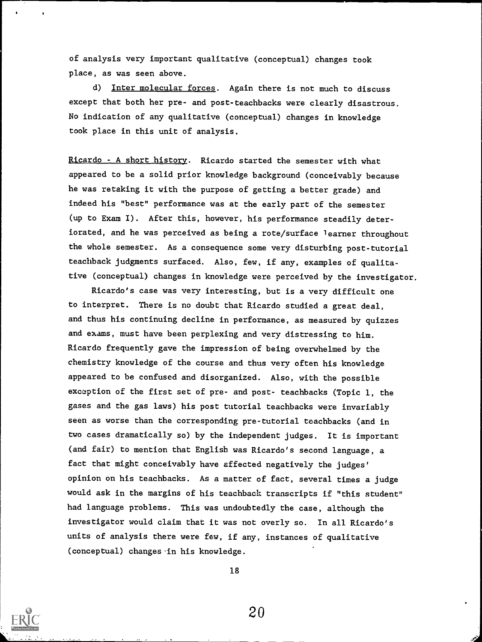of analysis very important qualitative (conceptual) changes took place, as was seen above.

d) Inter molecular forces. Again there is not much to discuss except that both her pre- and post-teachbacks were clearly disastrous. No indication of any qualitative (conceptual) changes in knowledge took place in this unit of analysis.

Ricardo - A short history. Ricardo started the semester with what appeared to be a solid prior knowledge background (conceivably because he was retaking it with the purpose of getting a better grade) and indeed his "best" performance was at the early part of the semester (up to Exam I). After this, however, his performance steadily deteriorated, and he was perceived as being a rote/surface learner throughout the whole semester. As a consequence some very disturbing post-tutorial teachback judgments surfaced. Also, few, if any, examples of qualitative (conceptual) changes in knowledge were perceived by the investigator

Ricardo's case was very interesting, but is a very difficult one to interpret. There is no doubt that Ricardo studied a great deal, and thus his continuing decline in performance, as measured by quizzes and exams, must have been perplexing and very distressing to him. Ricardo frequently gave the impression of being overwhelmed by the chemistry knowledge of the course and thus very often his knowledge appeared to be confused and disorganized. Also, with the possible exception of the first set of pre- and post- teachbacks (Topic 1, the gases and the gas laws) his post tutorial teachbacks were invariably seen as worse than the corresponding pre-tutorial teachbacks (and in two cases dramatically so) by the independent judges. It is important (and fair) to mention that English was Ricardo's second language, a fact that might conceivably have affected negatively the judges' opinion on his teachbacks. As a matter of fact, several times a judge would ask in the margins of his teachback transcripts if "this student" had language problems. This was undoubtedly the case, although the investigator would claim that it was not overly so. In all Ricardo's units of analysis there were few, if any, instances of qualitative (conceptual) changes in his knowledge.

18

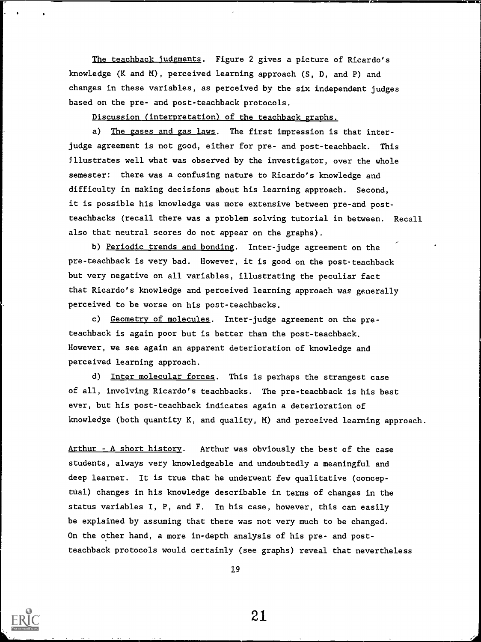The teachback judgments. Figure 2 gives a picture of Ricardo's knowledge (K and M), perceived learning approach (S, D, and P) and changes in these variables, as perceived by the six independent judges based on the pre- and post-teachback protocols.

Discussion (interpretation) of the teachback graphs.

a) The gases and gas laws. The first impression is that interjudge agreement is not good, either for pre- and post-teachback. This Illustrates well what was observed by the investigator, over the whole semester: there was a confusing nature to Ricardo's knowledge and difficulty in making decisions about his learning approach. Second, it is possible his knowledge was more extensive between pre-and postteachbacks (recall there was a problem solving tutorial in between. Recall also that neutral scores do not appear on the graphs).

b) Periodic trends and bonding. Inter-judge agreement on the pre-teachback is very bad. However, it is good on the post-teachback but very negative on all variables, illustrating the peculiar fact that Ricardo's knowledge and perceived learning approach was generally perceived to be worse on his post-teachbacks.

c) Geometry of molecules. Inter-judge agreement on the preteachback is again poor but is better than the post-teachback. However, we see again an apparent deterioration of knowledge and perceived learning approach.

d) Inter molecular forces. This is perhaps the strangest case of all, involving Ricardo's teachbacks. The pre-teachback is his best ever, but his post-teachback indicates again a deterioration of knowledge (both quantity K, and quality, M) and perceived learning approach.

Arthur - A short history. Arthur was obviously the best of the case students, always very knowledgeable and undoubtedly a meaningful and deep learner. It is true that he underwent few qualitative (conceptual) changes in his knowledge describable in terms of changes in the status variables I, P, and F. In his case, however, this can easily be explained by assuming that there was not very much to be changed. On the other hand, a more in-depth analysis of his pre- and postteachback protocols would certainly (see graphs) reveal that nevertheless

19

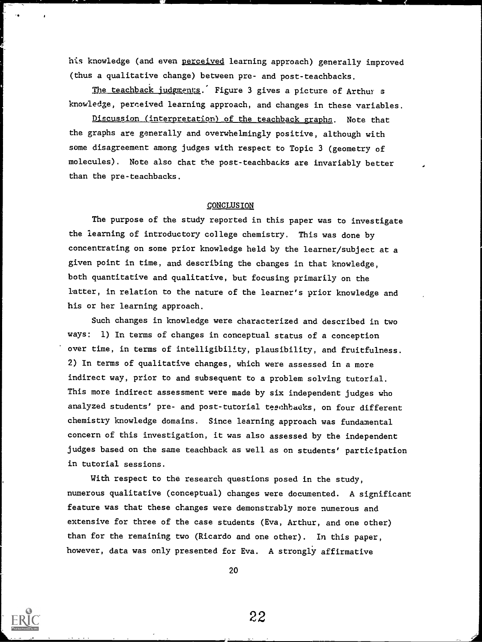his knowledge (and even perceived learning approach) generally improved (thus a qualitative change) between pre- and post-teachbacks.

The teachback judgments. Figure 3 gives a picture of Arthur s knowledge, perceived learning approach, and changes in these variables.

Discussion (interpretation) of the teachback graphs. Note that the graphs are generally and overwhelmingly positive, although with some disagreement among judges with respect to Topic 3 (geometry of molecules). Note also that the post-teachbacks are invariably better than the pre-teachbacks.

### **CONCLUSION**

The purpose of the study reported in this paper was to investigate the learning of introductory college chemistry. This was done by concentrating on some prior knowledge held by the learner/subject at a given point in time, and describing the changes in that knowledge, both quantitative and qualitative, but focusing primarily on the latter, in relation to the nature of the learner's prior knowledge and his or her learning approach.

Such changes in knowledge were characterized and described in two ways: 1) In terms of changes in conceptual status of a conception over time, in terms of intelligibility, plausibility, and fruitfulness. 2) In terms of qualitative changes, which were assessed in a more indirect way, prior to and subsequent to a problem solving tutorial. This more indirect assessment were made by six independent judges who analyzed students' pre- and post-tutorial teechbacks, on four different chemistry knowledge domains. Since learning approach was fundamental concern of this investigation, it was also assessed by the independent judges based on the same teachback as well as on students' participation in tutorial sessions.

With respect to the research questions posed in the study, numerous qualitative (conceptual) changes were documented. A significant feature was that these changes were demonstrably more numerous and extensive for three of the case students (Eva, Arthur, and one other) than for the remaining two (Ricardo and one other). In this paper, however, data was only presented for Eva. A strongly affirmative

20

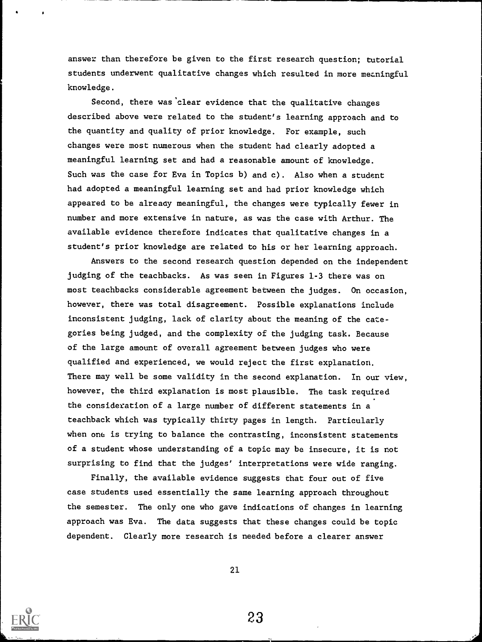answer than therefore be given to the first research question; tutorial students underwent qualitative changes which resulted in more meaningful knowledge.

Second, there was'clear evidence that the qualitative changes described above were related to the student's learning approach and to the quantity and quality of prior knowledge. For example, such changes were most numerous when the student had clearly adopted a meaningful learning set and had a reasonable amount of knowledge. Such was the case for Eva in Topics b) and c). Also when a student had adopted a meaningful learning set and had prior knowledge which appeared to be already meaningful, the changes were typically fewer in number and more extensive in nature, as was the case with Arthur. The available evidence therefore indicates that qualitative changes in a student's prior knowledge are related to his or her learning approach.

Answers to the second research question depended on the independent judging of the teachbacks. As was seen in Figures 1-3 there was on most teachbacks considerable agreement between the judges. On occasion, however, there was total disagreement. Possible explanations include inconsistent judging, lack of clarity about the meaning of the categories being judged, and the complexity of the judging task. Because of the large amount of overall agreement between judges who were qualified and experienced, we would reject the first explanation. There may well be some validity in the second explanation. In our view, however, the third explanation is most plausible. The task required the consideration of a large number of different statements in a teachback which was typically thirty pages in length. Particularly when one is trying to balance the contrasting, inconsistent statements of a student whose understanding of a topic may be insecure, it is not surprising to find that the judges' interpretations were wide ranging.

Finally, the available evidence suggests that four out of five case students used essentially the same learning approach throughout the semester. The only one who gave indications of changes in learning approach was Eva. The data suggests that these changes could be topic dependent. Clearly more research is needed before a clearer answer

21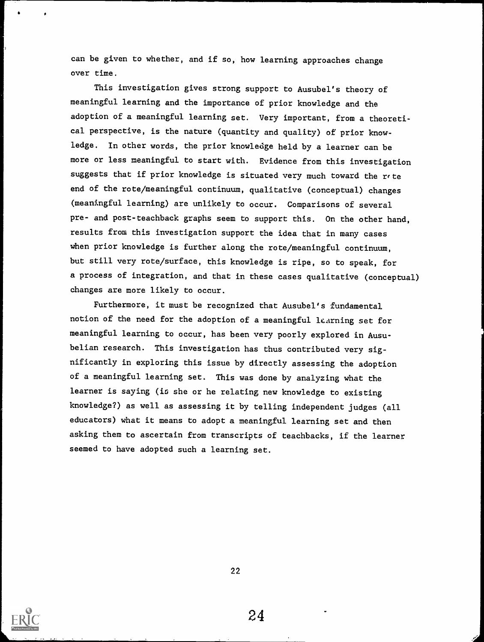can be given to whether, and if so, how learning approaches change over time.

This investigation gives strong support to Ausubel's theory of meaningful learning and the importance of prior knowledge and the adoption of a meaningful learning set. Very important, from a theoretical perspective, is the nature (quantity and quality) of prior knowledge. In other words, the prior knowledge held by a learner can be more or less meaningful to start with. Evidence from this investigation suggests that if prior knowledge is situated very much toward the rote end of the rote/meaningful continuum, qualitative (conceptual) changes (meaningful learning) are unlikely to occur. Comparisons of several pre- and post-teachback graphs seem to support this. On the other hand, results from this investigation support the idea that in many cases when prior knowledge is further along the rote/meaningful continuum, but still very rote/surface, this knowledge is ripe, so to speak, for a process of integration, and that in these cases qualitative (conceptual) changes are more likely to occur.

Furthermore, it must be recognized that Ausubel's fundamental notion of the need for the adoption of a meaningful learning set for meaningful learning to occur, has been very poorly explored in Ausubelian research. This investigation has thus contributed very significantly in exploring this issue by directly assessing the adoption of a meaningful learning set. This was done by analyzing what the learner is saying (is she or he relating new knowledge to existing knowledge?) as well as assessing it by telling independent judges (all educators) what it means to adopt a meaningful learning set and then asking them to ascertain from transcripts of teachbacks, if the learner seemed to have adopted such a learning set.



22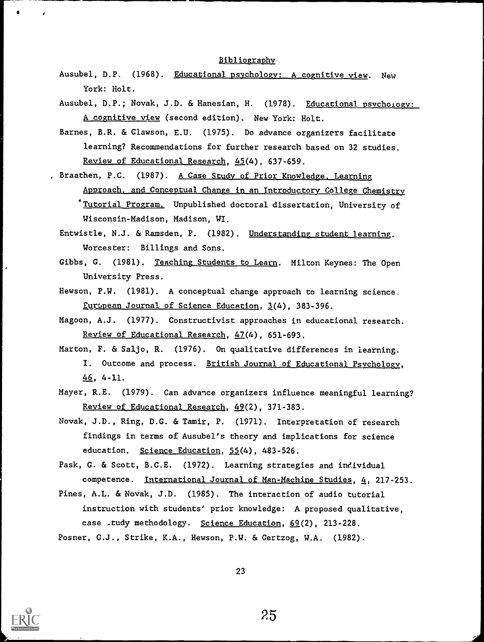#### Bibliography

- Ausubel, D.P. (1968). Educational psychology: A cognitive view. New York: Holt.
- Ausubel, D.P.; Novak, J.D. & Hanesian, H. (1978). Educational psychology: A cognitive view (second edition). New York: Holt.
- Barnes, B.R. & Clawson, E.U. (1975). Do advance organizers facilitate learning? Recommendations for further research based on 32 studies. Review of Educational Research, 45(4), 637-659.
- , Braathen, P.C. (1987). A Case Study of Prior Knowledge, Learning Approach, and Conceptual Change in an Introductory College Chemistry `Tutorial Program. Unpublished doctoral dissertation, University of Wisconsin-Madison, Madison, WI.
	- Entwistle, N.J. & Ramsden, P. (1982). Understanding student learning. Worcester: Billings and Sons.
	- Gibbs, G. (1981). Teaching Students to Learn. Milton Keynes: The Open University Press.
	- Hewson, P.W. (1981). A conceptual change approach to learning science. ,Emropean Journal of Science Education, 3(4), 383-396.
	- Magoon, A.J. (1977). Constructivist approaches in educational research. Review of Educational Research, 47(4), 651-693.
	- Marton, F. & Saljo, R. (1976). On qualitative differences in learning. I. Outcome and process. British Journal of Educational Psychology, 46, 4-11.
	- Mayer, R.E. (1979). Can advance organizers influence meaningful learning? Review of Educational Research, 49(2), 371-383.
	- Novak, J.D., Ring, D.G. & Tamir, P. (1971). Interpretation of research findings in terms of Ausubel's theory and implications for science education. Science Education, 55(4), 483-526.
	- Pask, G. & Scott, B.C.E. (1972). Learning strategies and individual competence. International Journal of Man-Machine Studies, 4, 217-253.
	- Pines, A.L. & Novak, J.D. (1985). The interaction of audio tutorial instruction with students' prior knowledge: A proposed qualitative, case \_tudy methodology. Science Education, 69(2), 213-228.
	- Posner, C.J., Strike, K.A., Hewson, P.W. & Gertzog, W.A. (1982).

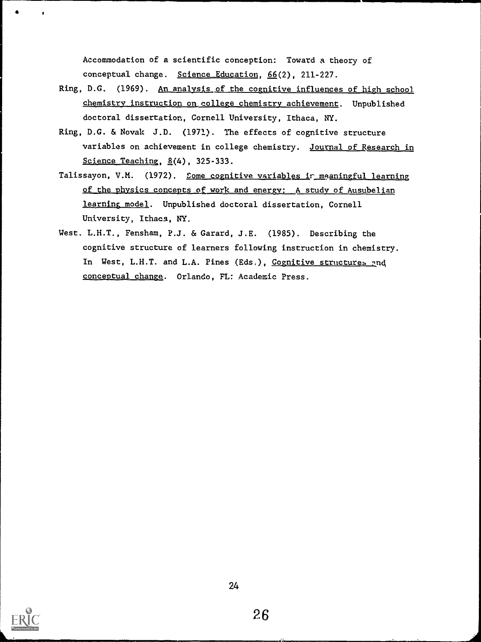Accommodation of a scientific conception: Toward a theory of conceptual change. Science Education, 66(2), 211-227.

- Ring, D.G. (1969). An analysis of the cognitive influences of high school chemistry instruction on college chemistry achievement. Unpublished doctoral dissertation, Cornell University, Ithaca, NY.
- Ring, D.G. & Novak J.D. (1971). The effects of cognitive structure variables on achievement in college chemistry. Journal of Research in Science Teaching, 8(4), 325-333.
- Talissayon, V.M. (1972). Some cognitive variables ir meaningful learning of the physics concepts of work and energy; A study of Ausubelian learning model. Unpublished doctoral dissertation, Cornell University, Ithaca, NY.
- West. L.H.T., Fensham, P.J. & Garard, J.E. (1985). Describing the cognitive structure of learners following instruction in chemistry. In West, L.H.T. and L.A. Pines (Eds.), Cognitive structures and conceptual change. Orlando, FL: Academic Press.

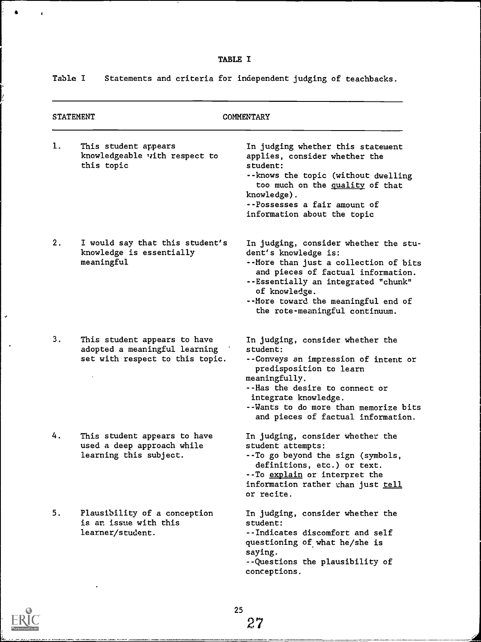Table I Statements and criteria for independent judging of teachbacks.

| <b>STATEMENT</b> |                                                                                                  | COMMENTARY                                                                                                                                                                                                                                                                    |  |  |
|------------------|--------------------------------------------------------------------------------------------------|-------------------------------------------------------------------------------------------------------------------------------------------------------------------------------------------------------------------------------------------------------------------------------|--|--|
| 1.               | This student appears<br>knowledgeable with respect to<br>this topic                              | In judging whether this statement<br>applies, consider whether the<br>student:<br>--knows the topic (without dwelling<br>too much on the quality of that<br>knowledge).<br>--Possesses a fair amount of<br>information about the topic                                        |  |  |
| 2.               | I would say that this student's<br>knowledge is essentially<br>meaningful                        | In judging, consider whether the stu-<br>dent's knowledge is:<br>--More than just a collection of bits<br>and pieces of factual information.<br>--Essentially an integrated "chunk"<br>of knowledge.<br>--More toward the meaningful end of<br>the rote-meaningful continuum. |  |  |
| 3.               | This student appears to have<br>adopted a meaningful learning<br>set with respect to this topic. | In judging, consider whether the<br>student:<br>--Conveys an impression of intent or<br>predisposition to learn<br>meaningfully.<br>--Has the desire to connect or<br>integrate knowledge.<br>--Wants to do more than memorize bits<br>and pieces of factual information.     |  |  |
| 4.               | This student appears to have<br>used a deep approach while<br>learning this subject.             | In judging, consider whether the<br>student attempts:<br>-- To go beyond the sign (symbols,<br>definitions, etc.) or text.<br>-- To explain or interpret the<br>information rather than just tell<br>or recite.                                                               |  |  |
| 5.               | Plausibility of a conception<br>is an issue with this<br>learner/student.                        | In judging, consider whether the<br>student:<br>--Indicates discomfort and self<br>questioning of what he/she is<br>saying.<br>--Questions the plausibility of<br>conceptions.                                                                                                |  |  |

 $\spadesuit$ 

Ŷ, Ļ

 $\ddot{\phi}$ 

 $\mathbf{r}$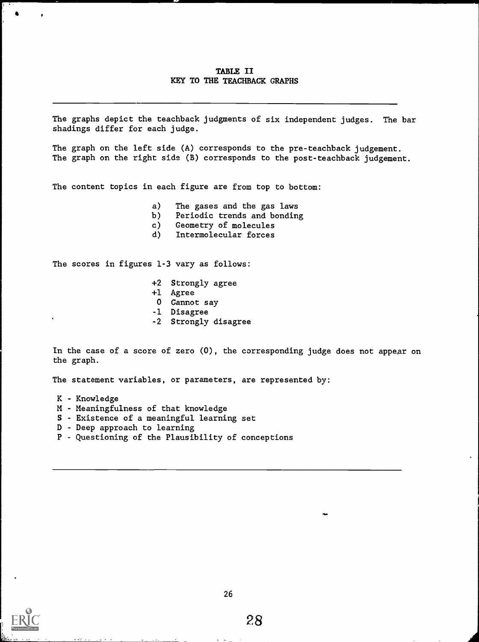## TABLE II KEY TO THE TEACHBACK GRAPHS

The graphs depict the teachback judgments of six independent judges. The bar shadings differ for each judge.

The graph on the left side (A) corresponds to the pre-teachback judgement. The graph on the right side (B) corresponds to the post-teachback judgement.

The content topics in each figure are from top to bottom:

- a) The gases and the gas laws
- b) Periodic trends and bonding
- c) Geometry of molecules<br>d) Intermolecular forces
- Intermolecular forces

The scores in figures 1-3 vary as follows:

- +2 Strongly agree
- +1 Agree
- 0 Cannot say
- -1 Disagree
- -2 Strongly disagree

In the case of a score of zero (0), the corresponding judge does not appear on the graph.

The statement variables, or parameters, are represented by:

- K Knowledge
- M Meaningfulness of that knowledge
- S Existence of a meaningful learning set
- D Deep approach to learning
- P Questioning of the Plausibility of conceptions

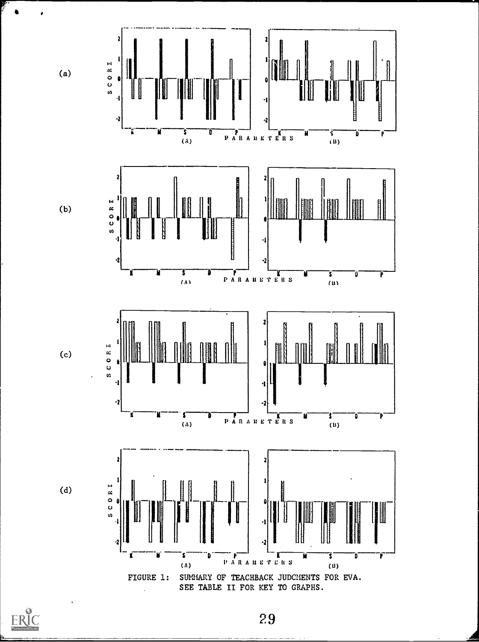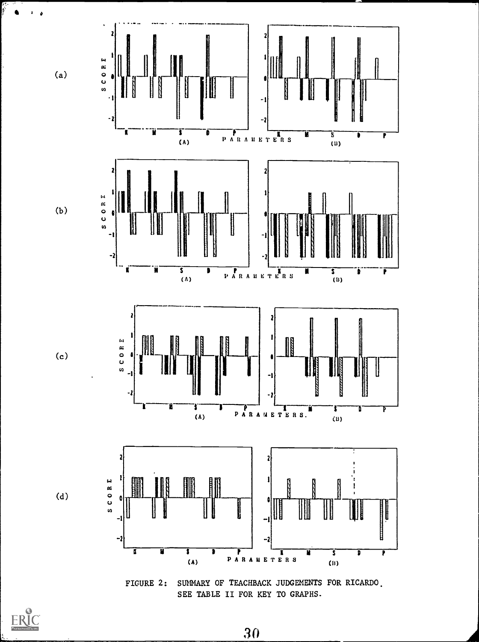